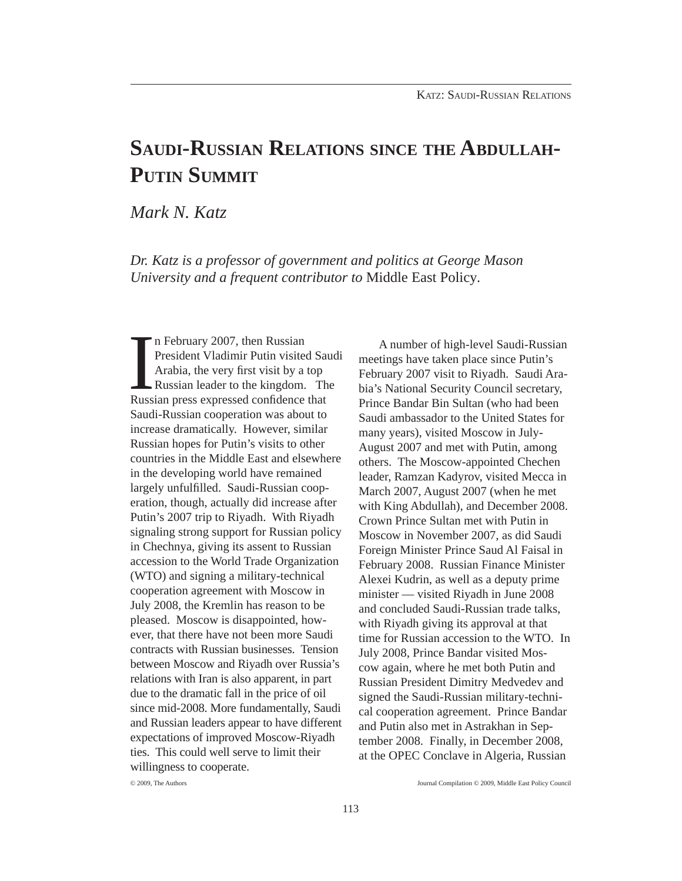# **SAUDI-RUSSIAN RELATIONS SINCE THE ABDULLAH-PUTIN SUMMIT**

*Mark N. Katz*

*Dr. Katz is a professor of government and politics at George Mason University and a frequent contributor to* Middle East Policy*.*

In February 2007, then Russian<br>President Vladimir Putin visited Sandrabia, the very first visit by a top<br>Russian leader to the kingdom. The<br>Russian press expressed confidence that n February 2007, then Russian President Vladimir Putin visited Saudi Arabia, the very first visit by a top Russian leader to the kingdom. The Saudi-Russian cooperation was about to increase dramatically. However, similar Russian hopes for Putin's visits to other countries in the Middle East and elsewhere in the developing world have remained largely unfulfilled. Saudi-Russian cooperation, though, actually did increase after Putin's 2007 trip to Riyadh. With Riyadh signaling strong support for Russian policy in Chechnya, giving its assent to Russian accession to the World Trade Organization (WTO) and signing a military-technical cooperation agreement with Moscow in July 2008, the Kremlin has reason to be pleased. Moscow is disappointed, however, that there have not been more Saudi contracts with Russian businesses. Tension between Moscow and Riyadh over Russia's relations with Iran is also apparent, in part due to the dramatic fall in the price of oil since mid-2008. More fundamentally, Saudi and Russian leaders appear to have different expectations of improved Moscow-Riyadh ties. This could well serve to limit their willingness to cooperate.

 A number of high-level Saudi-Russian meetings have taken place since Putin's February 2007 visit to Riyadh. Saudi Arabia's National Security Council secretary, Prince Bandar Bin Sultan (who had been Saudi ambassador to the United States for many years), visited Moscow in July-August 2007 and met with Putin, among others. The Moscow-appointed Chechen leader, Ramzan Kadyrov, visited Mecca in March 2007, August 2007 (when he met with King Abdullah), and December 2008. Crown Prince Sultan met with Putin in Moscow in November 2007, as did Saudi Foreign Minister Prince Saud Al Faisal in February 2008. Russian Finance Minister Alexei Kudrin, as well as a deputy prime minister — visited Riyadh in June 2008 and concluded Saudi-Russian trade talks, with Riyadh giving its approval at that time for Russian accession to the WTO. In July 2008, Prince Bandar visited Moscow again, where he met both Putin and Russian President Dimitry Medvedev and signed the Saudi-Russian military-technical cooperation agreement. Prince Bandar and Putin also met in Astrakhan in September 2008. Finally, in December 2008, at the OPEC Conclave in Algeria, Russian

<sup>© 2009,</sup> The Authors Journal Compilation © 2009, Middle East Policy Council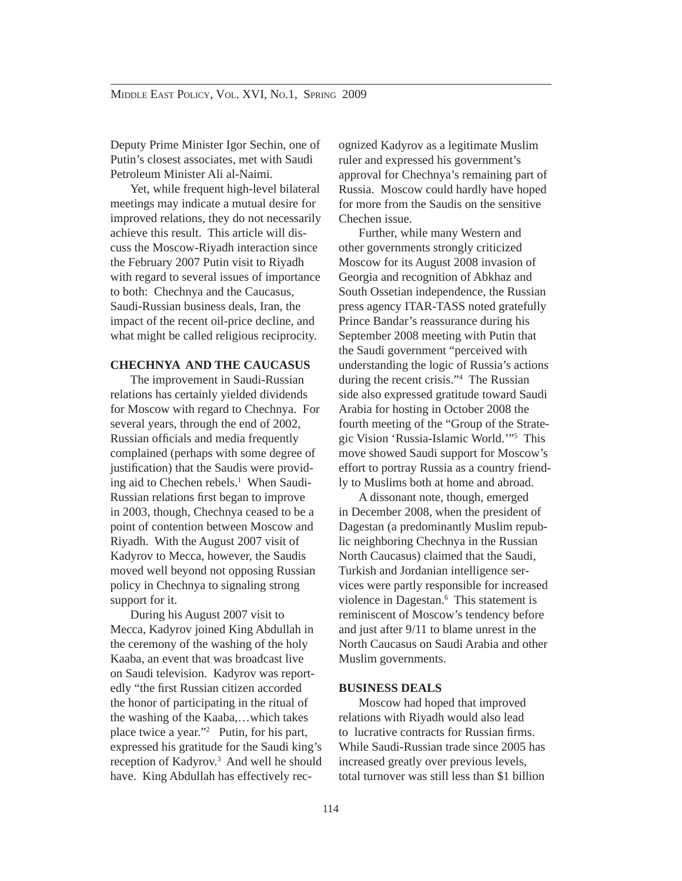Deputy Prime Minister Igor Sechin, one of Putin's closest associates, met with Saudi Petroleum Minister Ali al-Naimi.

 Yet, while frequent high-level bilateral meetings may indicate a mutual desire for improved relations, they do not necessarily achieve this result. This article will discuss the Moscow-Riyadh interaction since the February 2007 Putin visit to Riyadh with regard to several issues of importance to both: Chechnya and the Caucasus, Saudi-Russian business deals, Iran, the impact of the recent oil-price decline, and what might be called religious reciprocity.

# **CHECHNYA AND THE CAUCASUS**

 The improvement in Saudi-Russian relations has certainly yielded dividends for Moscow with regard to Chechnya. For several years, through the end of 2002, Russian officials and media frequently complained (perhaps with some degree of justification) that the Saudis were providing aid to Chechen rebels.<sup>1</sup> When Saudi-Russian relations first began to improve in 2003, though, Chechnya ceased to be a point of contention between Moscow and Riyadh. With the August 2007 visit of Kadyrov to Mecca, however, the Saudis moved well beyond not opposing Russian policy in Chechnya to signaling strong support for it.

 During his August 2007 visit to Mecca, Kadyrov joined King Abdullah in the ceremony of the washing of the holy Kaaba, an event that was broadcast live on Saudi television. Kadyrov was reportedly "the first Russian citizen accorded the honor of participating in the ritual of the washing of the Kaaba,…which takes place twice a year."2 Putin, for his part, expressed his gratitude for the Saudi king's reception of Kadyrov.<sup>3</sup> And well he should have. King Abdullah has effectively recognized Kadyrov as a legitimate Muslim ruler and expressed his government's approval for Chechnya's remaining part of Russia. Moscow could hardly have hoped for more from the Saudis on the sensitive Chechen issue.

 Further, while many Western and other governments strongly criticized Moscow for its August 2008 invasion of Georgia and recognition of Abkhaz and South Ossetian independence, the Russian press agency ITAR-TASS noted gratefully Prince Bandar's reassurance during his September 2008 meeting with Putin that the Saudi government "perceived with understanding the logic of Russia's actions during the recent crisis."4 The Russian side also expressed gratitude toward Saudi Arabia for hosting in October 2008 the fourth meeting of the "Group of the Strategic Vision 'Russia-Islamic World.'"5 This move showed Saudi support for Moscow's effort to portray Russia as a country friendly to Muslims both at home and abroad.

 A dissonant note, though, emerged in December 2008, when the president of Dagestan (a predominantly Muslim republic neighboring Chechnya in the Russian North Caucasus) claimed that the Saudi, Turkish and Jordanian intelligence services were partly responsible for increased violence in Dagestan.<sup>6</sup> This statement is reminiscent of Moscow's tendency before and just after 9/11 to blame unrest in the North Caucasus on Saudi Arabia and other Muslim governments.

#### **BUSINESS DEALS**

 Moscow had hoped that improved relations with Riyadh would also lead to lucrative contracts for Russian firms. While Saudi-Russian trade since 2005 has increased greatly over previous levels, total turnover was still less than \$1 billion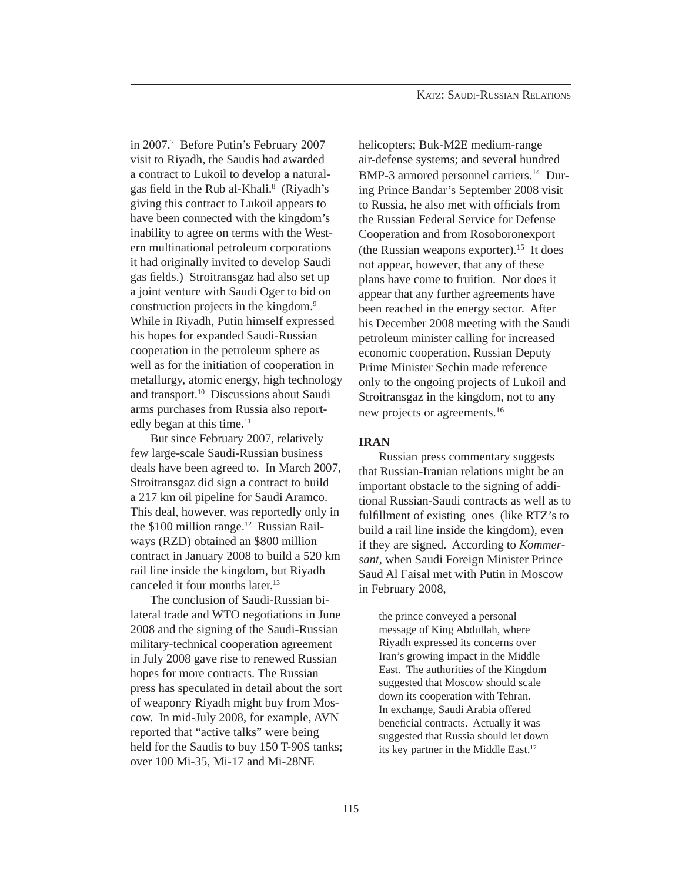in 2007.7 Before Putin's February 2007 visit to Riyadh, the Saudis had awarded a contract to Lukoil to develop a naturalgas field in the Rub al-Khali.<sup>8</sup> (Riyadh's giving this contract to Lukoil appears to have been connected with the kingdom's inability to agree on terms with the Western multinational petroleum corporations it had originally invited to develop Saudi gas fields.) Stroitransgaz had also set up a joint venture with Saudi Oger to bid on construction projects in the kingdom.<sup>9</sup> While in Riyadh, Putin himself expressed his hopes for expanded Saudi-Russian cooperation in the petroleum sphere as well as for the initiation of cooperation in metallurgy, atomic energy, high technology and transport.10 Discussions about Saudi arms purchases from Russia also reportedly began at this time.<sup>11</sup>

 But since February 2007, relatively few large-scale Saudi-Russian business deals have been agreed to. In March 2007, Stroitransgaz did sign a contract to build a 217 km oil pipeline for Saudi Aramco. This deal, however, was reportedly only in the  $$100$  million range.<sup>12</sup> Russian Railways (RZD) obtained an \$800 million contract in January 2008 to build a 520 km rail line inside the kingdom, but Riyadh canceled it four months later.13

 The conclusion of Saudi-Russian bilateral trade and WTO negotiations in June 2008 and the signing of the Saudi-Russian military-technical cooperation agreement in July 2008 gave rise to renewed Russian hopes for more contracts. The Russian press has speculated in detail about the sort of weaponry Riyadh might buy from Moscow. In mid-July 2008, for example, AVN reported that "active talks" were being held for the Saudis to buy 150 T-90S tanks; over 100 Mi-35, Mi-17 and Mi-28NE

helicopters; Buk-M2E medium-range air-defense systems; and several hundred BMP-3 armored personnel carriers.<sup>14</sup> During Prince Bandar's September 2008 visit to Russia, he also met with officials from the Russian Federal Service for Defense Cooperation and from Rosoboronexport (the Russian weapons exporter).<sup>15</sup> It does not appear, however, that any of these plans have come to fruition. Nor does it appear that any further agreements have been reached in the energy sector. After his December 2008 meeting with the Saudi petroleum minister calling for increased economic cooperation, Russian Deputy Prime Minister Sechin made reference only to the ongoing projects of Lukoil and Stroitransgaz in the kingdom, not to any new projects or agreements.16

## **IRAN**

 Russian press commentary suggests that Russian-Iranian relations might be an important obstacle to the signing of additional Russian-Saudi contracts as well as to fulfillment of existing ones (like RTZ's to build a rail line inside the kingdom), even if they are signed. According to *Kommersant*, when Saudi Foreign Minister Prince Saud Al Faisal met with Putin in Moscow in February 2008,

the prince conveyed a personal message of King Abdullah, where Riyadh expressed its concerns over Iran's growing impact in the Middle East. The authorities of the Kingdom suggested that Moscow should scale down its cooperation with Tehran. In exchange, Saudi Arabia offered beneficial contracts. Actually it was suggested that Russia should let down its key partner in the Middle East.<sup>17</sup>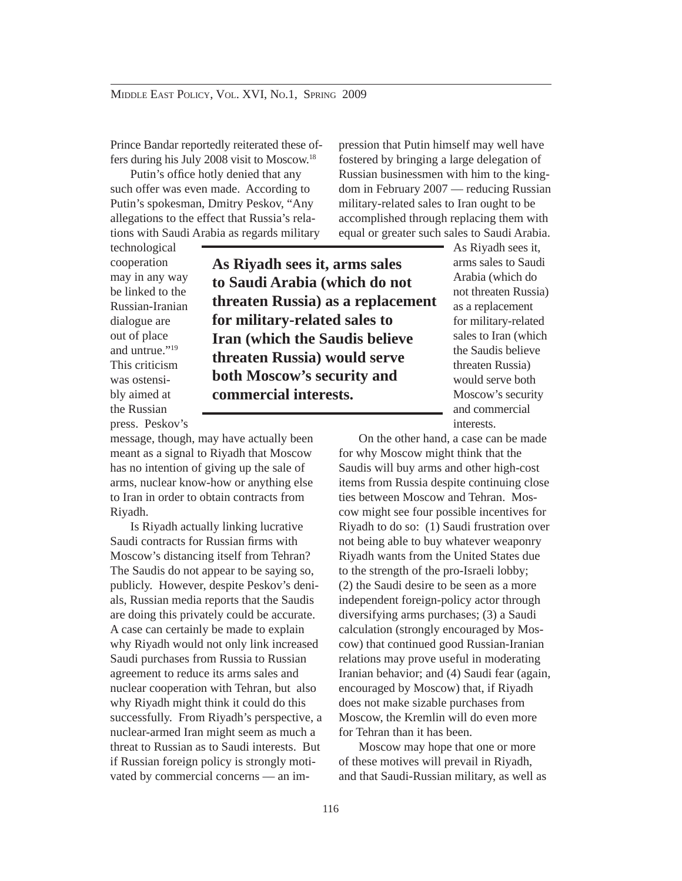Prince Bandar reportedly reiterated these offers during his July 2008 visit to Moscow.18

Putin's office hotly denied that any such offer was even made. According to Putin's spokesman, Dmitry Peskov, "Any allegations to the effect that Russia's relations with Saudi Arabia as regards military

technological cooperation may in any way be linked to the Russian-Iranian dialogue are out of place and untrue."<sup>19</sup> This criticism was ostensibly aimed at the Russian press. Peskov's

**As Riyadh sees it, arms sales to Saudi Arabia (which do not threaten Russia) as a replacement for military-related sales to Iran (which the Saudis believe threaten Russia) would serve both Moscow's security and commercial interests.**

message, though, may have actually been meant as a signal to Riyadh that Moscow has no intention of giving up the sale of arms, nuclear know-how or anything else to Iran in order to obtain contracts from Riyadh.

 Is Riyadh actually linking lucrative Saudi contracts for Russian firms with Moscow's distancing itself from Tehran? The Saudis do not appear to be saying so, publicly. However, despite Peskov's denials, Russian media reports that the Saudis are doing this privately could be accurate. A case can certainly be made to explain why Riyadh would not only link increased Saudi purchases from Russia to Russian agreement to reduce its arms sales and nuclear cooperation with Tehran, but also why Riyadh might think it could do this successfully. From Riyadh's perspective, a nuclear-armed Iran might seem as much a threat to Russian as to Saudi interests. But if Russian foreign policy is strongly motivated by commercial concerns — an impression that Putin himself may well have fostered by bringing a large delegation of Russian businessmen with him to the kingdom in February 2007 — reducing Russian military-related sales to Iran ought to be accomplished through replacing them with equal or greater such sales to Saudi Arabia.

> As Riyadh sees it, arms sales to Saudi Arabia (which do not threaten Russia) as a replacement for military-related sales to Iran (which the Saudis believe threaten Russia) would serve both Moscow's security and commercial interests.

 On the other hand, a case can be made for why Moscow might think that the Saudis will buy arms and other high-cost items from Russia despite continuing close ties between Moscow and Tehran. Moscow might see four possible incentives for Riyadh to do so: (1) Saudi frustration over not being able to buy whatever weaponry Riyadh wants from the United States due to the strength of the pro-Israeli lobby; (2) the Saudi desire to be seen as a more independent foreign-policy actor through diversifying arms purchases; (3) a Saudi calculation (strongly encouraged by Moscow) that continued good Russian-Iranian relations may prove useful in moderating Iranian behavior; and (4) Saudi fear (again, encouraged by Moscow) that, if Riyadh does not make sizable purchases from Moscow, the Kremlin will do even more for Tehran than it has been.

 Moscow may hope that one or more of these motives will prevail in Riyadh, and that Saudi-Russian military, as well as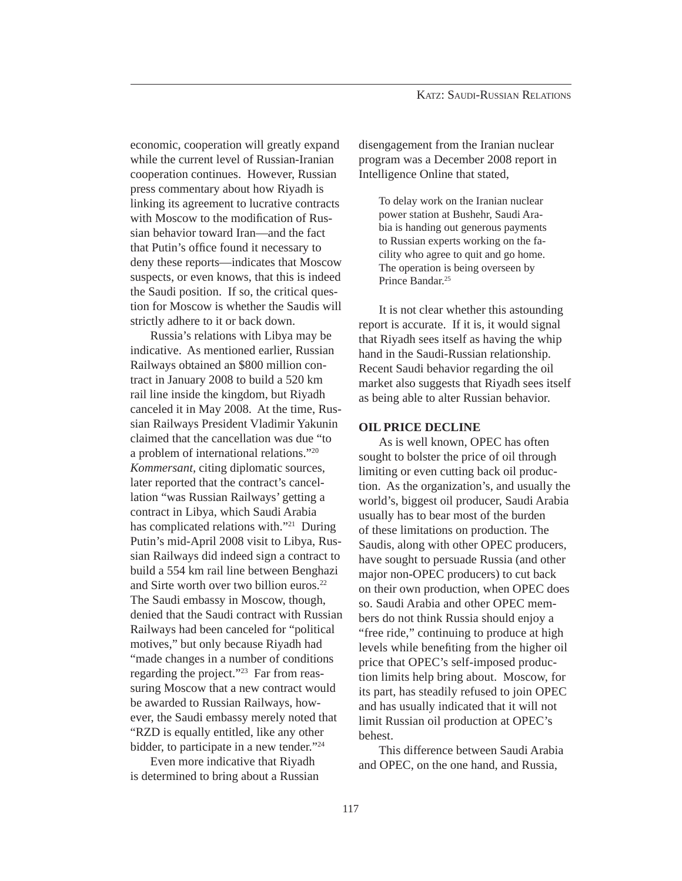economic, cooperation will greatly expand while the current level of Russian-Iranian cooperation continues. However, Russian press commentary about how Riyadh is linking its agreement to lucrative contracts with Moscow to the modification of Russian behavior toward Iran—and the fact that Putin's office found it necessary to deny these reports—indicates that Moscow suspects, or even knows, that this is indeed the Saudi position. If so, the critical question for Moscow is whether the Saudis will strictly adhere to it or back down.

 Russia's relations with Libya may be indicative. As mentioned earlier, Russian Railways obtained an \$800 million contract in January 2008 to build a 520 km rail line inside the kingdom, but Riyadh canceled it in May 2008. At the time, Russian Railways President Vladimir Yakunin claimed that the cancellation was due "to a problem of international relations."20 *Kommersant,* citing diplomatic sources, later reported that the contract's cancellation "was Russian Railways' getting a contract in Libya, which Saudi Arabia has complicated relations with."21 During Putin's mid-April 2008 visit to Libya, Russian Railways did indeed sign a contract to build a 554 km rail line between Benghazi and Sirte worth over two billion euros.<sup>22</sup> The Saudi embassy in Moscow, though, denied that the Saudi contract with Russian Railways had been canceled for "political motives," but only because Riyadh had "made changes in a number of conditions regarding the project."23 Far from reassuring Moscow that a new contract would be awarded to Russian Railways, however, the Saudi embassy merely noted that "RZD is equally entitled, like any other bidder, to participate in a new tender."24

 Even more indicative that Riyadh is determined to bring about a Russian disengagement from the Iranian nuclear program was a December 2008 report in Intelligence Online that stated,

To delay work on the Iranian nuclear power station at Bushehr, Saudi Arabia is handing out generous payments to Russian experts working on the facility who agree to quit and go home. The operation is being overseen by Prince Bandar.<sup>25</sup>

 It is not clear whether this astounding report is accurate. If it is, it would signal that Riyadh sees itself as having the whip hand in the Saudi-Russian relationship. Recent Saudi behavior regarding the oil market also suggests that Riyadh sees itself as being able to alter Russian behavior.

#### **OIL PRICE DECLINE**

 As is well known, OPEC has often sought to bolster the price of oil through limiting or even cutting back oil production. As the organization's, and usually the world's, biggest oil producer, Saudi Arabia usually has to bear most of the burden of these limitations on production. The Saudis, along with other OPEC producers, have sought to persuade Russia (and other major non-OPEC producers) to cut back on their own production, when OPEC does so. Saudi Arabia and other OPEC members do not think Russia should enjoy a "free ride," continuing to produce at high levels while benefiting from the higher oil price that OPEC's self-imposed production limits help bring about. Moscow, for its part, has steadily refused to join OPEC and has usually indicated that it will not limit Russian oil production at OPEC's behest.

 This difference between Saudi Arabia and OPEC, on the one hand, and Russia,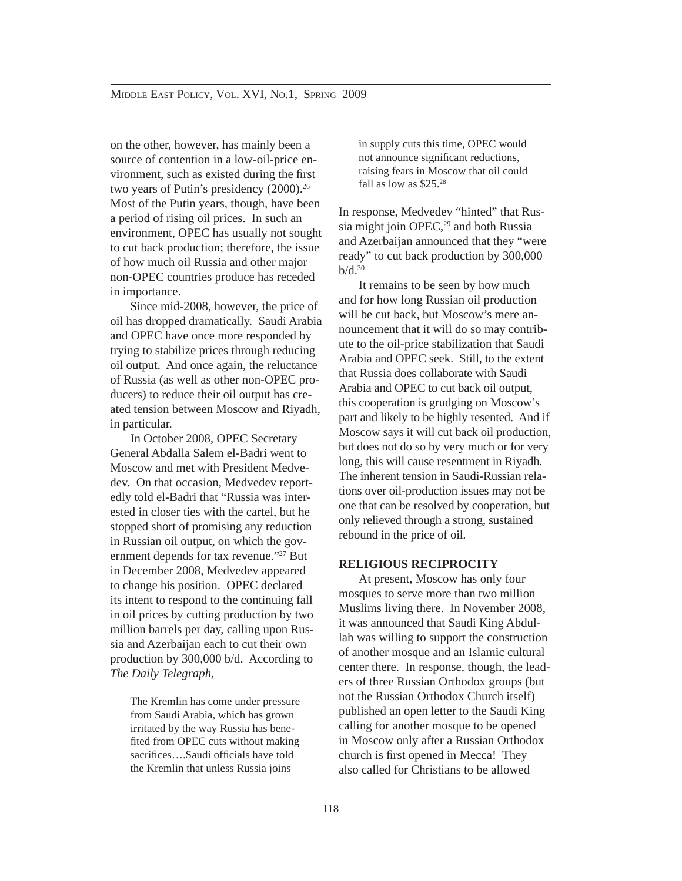on the other, however, has mainly been a source of contention in a low-oil-price environment, such as existed during the first two years of Putin's presidency (2000).<sup>26</sup> Most of the Putin years, though, have been a period of rising oil prices. In such an environment, OPEC has usually not sought to cut back production; therefore, the issue of how much oil Russia and other major non-OPEC countries produce has receded in importance.

 Since mid-2008, however, the price of oil has dropped dramatically. Saudi Arabia and OPEC have once more responded by trying to stabilize prices through reducing oil output. And once again, the reluctance of Russia (as well as other non-OPEC producers) to reduce their oil output has created tension between Moscow and Riyadh, in particular.

 In October 2008, OPEC Secretary General Abdalla Salem el-Badri went to Moscow and met with President Medvedev. On that occasion, Medvedev reportedly told el-Badri that "Russia was interested in closer ties with the cartel, but he stopped short of promising any reduction in Russian oil output, on which the government depends for tax revenue."27 But in December 2008, Medvedev appeared to change his position. OPEC declared its intent to respond to the continuing fall in oil prices by cutting production by two million barrels per day, calling upon Russia and Azerbaijan each to cut their own production by 300,000 b/d. According to *The Daily Telegraph*,

> The Kremlin has come under pressure from Saudi Arabia, which has grown irritated by the way Russia has benefited from OPEC cuts without making sacrifices....Saudi officials have told the Kremlin that unless Russia joins

in supply cuts this time, OPEC would not announce significant reductions, raising fears in Moscow that oil could fall as low as \$25.28

In response, Medvedev "hinted" that Russia might join  $OPEC<sub>1</sub><sup>29</sup>$  and both Russia and Azerbaijan announced that they "were ready" to cut back production by 300,000  $b/d.<sup>30</sup>$ 

 It remains to be seen by how much and for how long Russian oil production will be cut back, but Moscow's mere announcement that it will do so may contribute to the oil-price stabilization that Saudi Arabia and OPEC seek. Still, to the extent that Russia does collaborate with Saudi Arabia and OPEC to cut back oil output, this cooperation is grudging on Moscow's part and likely to be highly resented. And if Moscow says it will cut back oil production, but does not do so by very much or for very long, this will cause resentment in Riyadh. The inherent tension in Saudi-Russian relations over oil-production issues may not be one that can be resolved by cooperation, but only relieved through a strong, sustained rebound in the price of oil.

#### **RELIGIOUS RECIPROCITY**

 At present, Moscow has only four mosques to serve more than two million Muslims living there. In November 2008, it was announced that Saudi King Abdullah was willing to support the construction of another mosque and an Islamic cultural center there. In response, though, the leaders of three Russian Orthodox groups (but not the Russian Orthodox Church itself) published an open letter to the Saudi King calling for another mosque to be opened in Moscow only after a Russian Orthodox church is first opened in Mecca! They also called for Christians to be allowed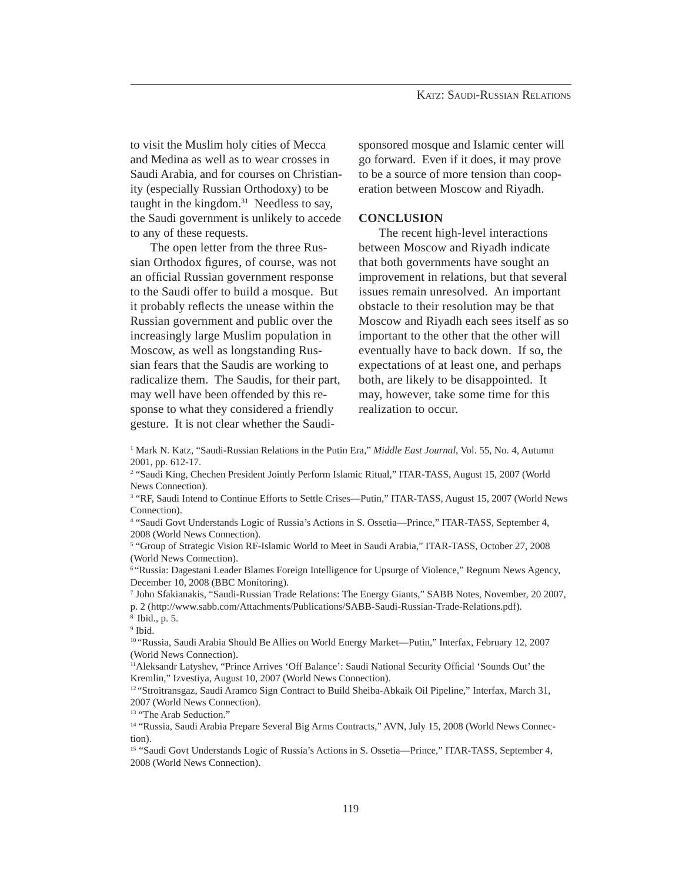to visit the Muslim holy cities of Mecca and Medina as well as to wear crosses in Saudi Arabia, and for courses on Christianity (especially Russian Orthodoxy) to be taught in the kingdom. $31$  Needless to say, the Saudi government is unlikely to accede to any of these requests.

 The open letter from the three Russian Orthodox figures, of course, was not an official Russian government response to the Saudi offer to build a mosque. But it probably reflects the unease within the Russian government and public over the increasingly large Muslim population in Moscow, as well as longstanding Russian fears that the Saudis are working to radicalize them. The Saudis, for their part, may well have been offended by this response to what they considered a friendly gesture. It is not clear whether the Saudi-

sponsored mosque and Islamic center will go forward. Even if it does, it may prove to be a source of more tension than cooperation between Moscow and Riyadh.

### **CONCLUSION**

 The recent high-level interactions between Moscow and Riyadh indicate that both governments have sought an improvement in relations, but that several issues remain unresolved. An important obstacle to their resolution may be that Moscow and Riyadh each sees itself as so important to the other that the other will eventually have to back down. If so, the expectations of at least one, and perhaps both, are likely to be disappointed. It may, however, take some time for this realization to occur.

1 Mark N. Katz, "Saudi-Russian Relations in the Putin Era," *Middle East Journal*, Vol. 55, No. 4, Autumn 2001, pp. 612-17.

<sup>2</sup> "Saudi King, Chechen President Jointly Perform Islamic Ritual," ITAR-TASS, August 15, 2007 (World News Connection).

<sup>3</sup> "RF, Saudi Intend to Continue Efforts to Settle Crises—Putin," ITAR-TASS, August 15, 2007 (World News Connection).

4 "Saudi Govt Understands Logic of Russia's Actions in S. Ossetia—Prince," ITAR-TASS, September 4, 2008 (World News Connection).

5 "Group of Strategic Vision RF-Islamic World to Meet in Saudi Arabia," ITAR-TASS, October 27, 2008 (World News Connection).

6 "Russia: Dagestani Leader Blames Foreign Intelligence for Upsurge of Violence," Regnum News Agency, December 10, 2008 (BBC Monitoring).

7 John Sfakianakis, "Saudi-Russian Trade Relations: The Energy Giants," SABB Notes, November, 20 2007, p. 2 (http://www.sabb.com/Attachments/Publications/SABB-Saudi-Russian-Trade-Relations.pdf).

9 Ibid.

10 "Russia, Saudi Arabia Should Be Allies on World Energy Market—Putin," Interfax, February 12, 2007 (World News Connection).

<sup>11</sup> Aleksandr Latyshev, "Prince Arrives 'Off Balance': Saudi National Security Official 'Sounds Out' the Kremlin," Izvestiya, August 10, 2007 (World News Connection).

<sup>12</sup> "Stroitransgaz, Saudi Aramco Sign Contract to Build Sheiba-Abkaik Oil Pipeline," Interfax, March 31, 2007 (World News Connection).

<sup>13</sup> "The Arab Seduction."

14 "Russia, Saudi Arabia Prepare Several Big Arms Contracts," AVN, July 15, 2008 (World News Connection).

<sup>15</sup> "Saudi Govt Understands Logic of Russia's Actions in S. Ossetia—Prince," ITAR-TASS, September 4, 2008 (World News Connection).

<sup>8</sup> Ibid., p. 5.